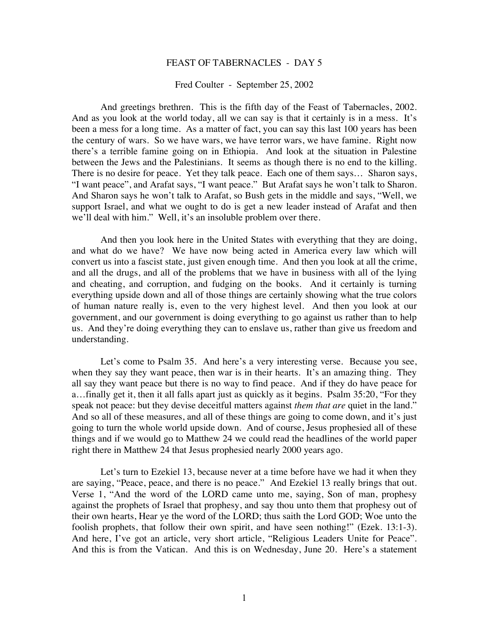## FEAST OF TABERNACLES - DAY 5

## Fred Coulter - September 25, 2002

And greetings brethren. This is the fifth day of the Feast of Tabernacles, 2002. And as you look at the world today, all we can say is that it certainly is in a mess. It's been a mess for a long time. As a matter of fact, you can say this last 100 years has been the century of wars. So we have wars, we have terror wars, we have famine. Right now there's a terrible famine going on in Ethiopia. And look at the situation in Palestine between the Jews and the Palestinians. It seems as though there is no end to the killing. There is no desire for peace. Yet they talk peace. Each one of them says… Sharon says, "I want peace", and Arafat says, "I want peace." But Arafat says he won't talk to Sharon. And Sharon says he won't talk to Arafat, so Bush gets in the middle and says, "Well, we support Israel, and what we ought to do is get a new leader instead of Arafat and then we'll deal with him." Well, it's an insoluble problem over there.

And then you look here in the United States with everything that they are doing, and what do we have? We have now being acted in America every law which will convert us into a fascist state, just given enough time. And then you look at all the crime, and all the drugs, and all of the problems that we have in business with all of the lying and cheating, and corruption, and fudging on the books. And it certainly is turning everything upside down and all of those things are certainly showing what the true colors of human nature really is, even to the very highest level. And then you look at our government, and our government is doing everything to go against us rather than to help us. And they're doing everything they can to enslave us, rather than give us freedom and understanding.

Let's come to Psalm 35. And here's a very interesting verse. Because you see, when they say they want peace, then war is in their hearts. It's an amazing thing. They all say they want peace but there is no way to find peace. And if they do have peace for a…finally get it, then it all falls apart just as quickly as it begins. Psalm 35:20, "For they speak not peace: but they devise deceitful matters against *them that are* quiet in the land." And so all of these measures, and all of these things are going to come down, and it's just going to turn the whole world upside down. And of course, Jesus prophesied all of these things and if we would go to Matthew 24 we could read the headlines of the world paper right there in Matthew 24 that Jesus prophesied nearly 2000 years ago.

Let's turn to Ezekiel 13, because never at a time before have we had it when they are saying, "Peace, peace, and there is no peace." And Ezekiel 13 really brings that out. Verse 1, "And the word of the LORD came unto me, saying, Son of man, prophesy against the prophets of Israel that prophesy, and say thou unto them that prophesy out of their own hearts, Hear ye the word of the LORD; thus saith the Lord GOD; Woe unto the foolish prophets, that follow their own spirit, and have seen nothing!" (Ezek. 13:1-3). And here, I've got an article, very short article, "Religious Leaders Unite for Peace". And this is from the Vatican. And this is on Wednesday, June 20. Here's a statement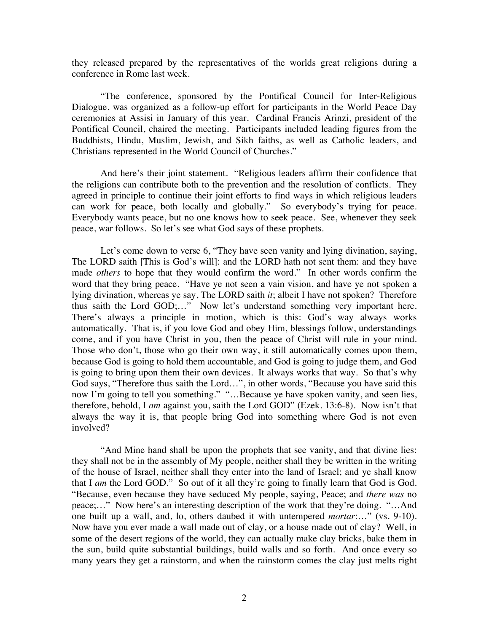they released prepared by the representatives of the worlds great religions during a conference in Rome last week.

"The conference, sponsored by the Pontifical Council for Inter-Religious Dialogue, was organized as a follow-up effort for participants in the World Peace Day ceremonies at Assisi in January of this year. Cardinal Francis Arinzi, president of the Pontifical Council, chaired the meeting. Participants included leading figures from the Buddhists, Hindu, Muslim, Jewish, and Sikh faiths, as well as Catholic leaders, and Christians represented in the World Council of Churches."

And here's their joint statement. "Religious leaders affirm their confidence that the religions can contribute both to the prevention and the resolution of conflicts. They agreed in principle to continue their joint efforts to find ways in which religious leaders can work for peace, both locally and globally." So everybody's trying for peace. Everybody wants peace, but no one knows how to seek peace. See, whenever they seek peace, war follows. So let's see what God says of these prophets.

Let's come down to verse 6, "They have seen vanity and lying divination, saying, The LORD saith [This is God's will]: and the LORD hath not sent them: and they have made *others* to hope that they would confirm the word." In other words confirm the word that they bring peace. "Have ye not seen a vain vision, and have ye not spoken a lying divination, whereas ye say, The LORD saith *it*; albeit I have not spoken? Therefore thus saith the Lord GOD;…" Now let's understand something very important here. There's always a principle in motion, which is this: God's way always works automatically. That is, if you love God and obey Him, blessings follow, understandings come, and if you have Christ in you, then the peace of Christ will rule in your mind. Those who don't, those who go their own way, it still automatically comes upon them, because God is going to hold them accountable, and God is going to judge them, and God is going to bring upon them their own devices. It always works that way. So that's why God says, "Therefore thus saith the Lord…", in other words, "Because you have said this now I'm going to tell you something." "…Because ye have spoken vanity, and seen lies, therefore, behold, I *am* against you, saith the Lord GOD" (Ezek. 13:6-8). Now isn't that always the way it is, that people bring God into something where God is not even involved?

"And Mine hand shall be upon the prophets that see vanity, and that divine lies: they shall not be in the assembly of My people, neither shall they be written in the writing of the house of Israel, neither shall they enter into the land of Israel; and ye shall know that I *am* the Lord GOD." So out of it all they're going to finally learn that God is God. "Because, even because they have seduced My people, saying, Peace; and *there was* no peace;…" Now here's an interesting description of the work that they're doing. "…And one built up a wall, and, lo, others daubed it with untempered *mortar*:…" (vs. 9-10). Now have you ever made a wall made out of clay, or a house made out of clay? Well, in some of the desert regions of the world, they can actually make clay bricks, bake them in the sun, build quite substantial buildings, build walls and so forth. And once every so many years they get a rainstorm, and when the rainstorm comes the clay just melts right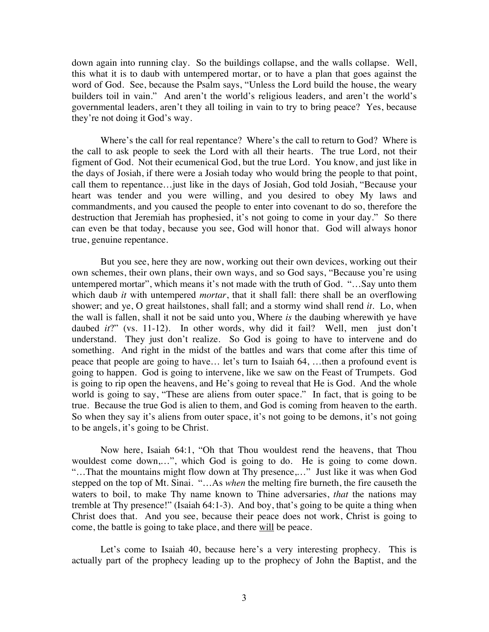down again into running clay. So the buildings collapse, and the walls collapse. Well, this what it is to daub with untempered mortar, or to have a plan that goes against the word of God. See, because the Psalm says, "Unless the Lord build the house, the weary builders toil in vain." And aren't the world's religious leaders, and aren't the world's governmental leaders, aren't they all toiling in vain to try to bring peace? Yes, because they're not doing it God's way.

Where's the call for real repentance? Where's the call to return to God? Where is the call to ask people to seek the Lord with all their hearts. The true Lord, not their figment of God. Not their ecumenical God, but the true Lord. You know, and just like in the days of Josiah, if there were a Josiah today who would bring the people to that point, call them to repentance…just like in the days of Josiah, God told Josiah, "Because your heart was tender and you were willing, and you desired to obey My laws and commandments, and you caused the people to enter into covenant to do so, therefore the destruction that Jeremiah has prophesied, it's not going to come in your day." So there can even be that today, because you see, God will honor that. God will always honor true, genuine repentance.

But you see, here they are now, working out their own devices, working out their own schemes, their own plans, their own ways, and so God says, "Because you're using untempered mortar", which means it's not made with the truth of God. "…Say unto them which daub *it* with untempered *mortar*, that it shall fall: there shall be an overflowing shower; and ye, O great hailstones, shall fall; and a stormy wind shall rend *it*. Lo, when the wall is fallen, shall it not be said unto you, Where *is* the daubing wherewith ye have daubed *it*?" (vs. 11-12). In other words, why did it fail? Well, men just don't understand. They just don't realize. So God is going to have to intervene and do something. And right in the midst of the battles and wars that come after this time of peace that people are going to have… let's turn to Isaiah 64, …then a profound event is going to happen. God is going to intervene, like we saw on the Feast of Trumpets. God is going to rip open the heavens, and He's going to reveal that He is God. And the whole world is going to say, "These are aliens from outer space." In fact, that is going to be true. Because the true God is alien to them, and God is coming from heaven to the earth. So when they say it's aliens from outer space, it's not going to be demons, it's not going to be angels, it's going to be Christ.

Now here, Isaiah 64:1, "Oh that Thou wouldest rend the heavens, that Thou wouldest come down,…", which God is going to do. He is going to come down. "…That the mountains might flow down at Thy presence,…" Just like it was when God stepped on the top of Mt. Sinai. "…As *when* the melting fire burneth, the fire causeth the waters to boil, to make Thy name known to Thine adversaries, *that* the nations may tremble at Thy presence!" (Isaiah 64:1-3). And boy, that's going to be quite a thing when Christ does that. And you see, because their peace does not work, Christ is going to come, the battle is going to take place, and there will be peace.

Let's come to Isaiah 40, because here's a very interesting prophecy. This is actually part of the prophecy leading up to the prophecy of John the Baptist, and the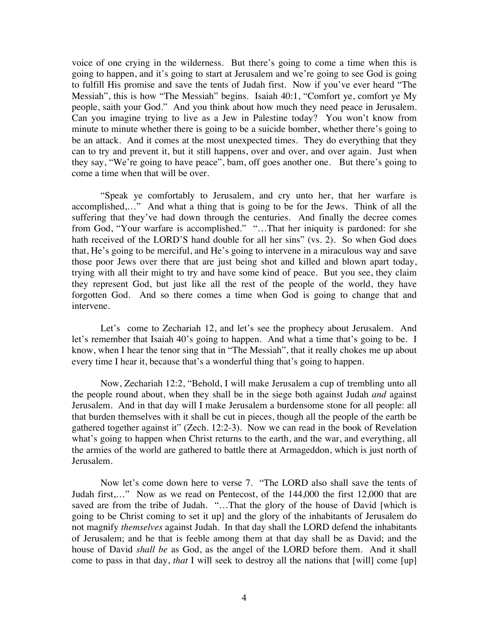voice of one crying in the wilderness. But there's going to come a time when this is going to happen, and it's going to start at Jerusalem and we're going to see God is going to fulfill His promise and save the tents of Judah first. Now if you've ever heard "The Messiah", this is how "The Messiah" begins. Isaiah 40:1, "Comfort ye, comfort ye My people, saith your God." And you think about how much they need peace in Jerusalem. Can you imagine trying to live as a Jew in Palestine today? You won't know from minute to minute whether there is going to be a suicide bomber, whether there's going to be an attack. And it comes at the most unexpected times. They do everything that they can to try and prevent it, but it still happens, over and over, and over again. Just when they say, "We're going to have peace", bam, off goes another one. But there's going to come a time when that will be over.

"Speak ye comfortably to Jerusalem, and cry unto her, that her warfare is accomplished,…" And what a thing that is going to be for the Jews. Think of all the suffering that they've had down through the centuries. And finally the decree comes from God, "Your warfare is accomplished." "…That her iniquity is pardoned: for she hath received of the LORD'S hand double for all her sins" (vs. 2). So when God does that, He's going to be merciful, and He's going to intervene in a miraculous way and save those poor Jews over there that are just being shot and killed and blown apart today, trying with all their might to try and have some kind of peace. But you see, they claim they represent God, but just like all the rest of the people of the world, they have forgotten God. And so there comes a time when God is going to change that and intervene.

Let's come to Zechariah 12, and let's see the prophecy about Jerusalem. And let's remember that Isaiah 40's going to happen. And what a time that's going to be. I know, when I hear the tenor sing that in "The Messiah", that it really chokes me up about every time I hear it, because that's a wonderful thing that's going to happen.

Now, Zechariah 12:2, "Behold, I will make Jerusalem a cup of trembling unto all the people round about, when they shall be in the siege both against Judah *and* against Jerusalem. And in that day will I make Jerusalem a burdensome stone for all people: all that burden themselves with it shall be cut in pieces, though all the people of the earth be gathered together against it" (Zech. 12:2-3). Now we can read in the book of Revelation what's going to happen when Christ returns to the earth, and the war, and everything, all the armies of the world are gathered to battle there at Armageddon, which is just north of Jerusalem.

Now let's come down here to verse 7. "The LORD also shall save the tents of Judah first,…" Now as we read on Pentecost, of the 144,000 the first 12,000 that are saved are from the tribe of Judah. "...That the glory of the house of David [which is going to be Christ coming to set it up] and the glory of the inhabitants of Jerusalem do not magnify *themselves* against Judah. In that day shall the LORD defend the inhabitants of Jerusalem; and he that is feeble among them at that day shall be as David; and the house of David *shall be* as God, as the angel of the LORD before them. And it shall come to pass in that day, *that* I will seek to destroy all the nations that [will] come [up]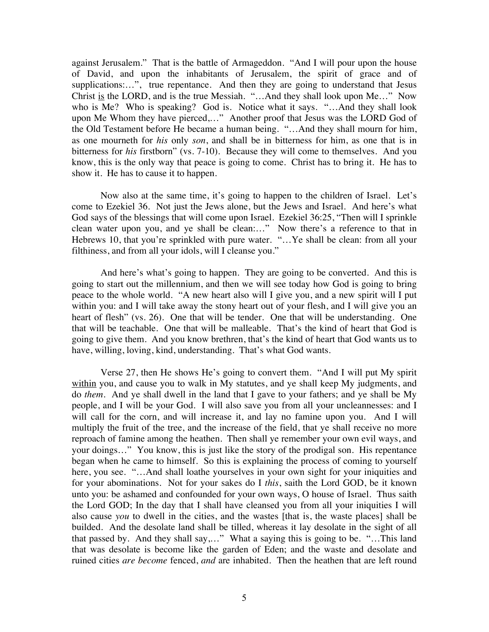against Jerusalem." That is the battle of Armageddon. "And I will pour upon the house of David, and upon the inhabitants of Jerusalem, the spirit of grace and of supplications:...", true repentance. And then they are going to understand that Jesus Christ is the LORD, and is the true Messiah. "...And they shall look upon Me..." Now who is Me? Who is speaking? God is. Notice what it says. "...And they shall look upon Me Whom they have pierced,…" Another proof that Jesus was the LORD God of the Old Testament before He became a human being. "…And they shall mourn for him, as one mourneth for *his* only *son*, and shall be in bitterness for him, as one that is in bitterness for *his* firstborn" (vs. 7-10). Because they will come to themselves. And you know, this is the only way that peace is going to come. Christ has to bring it. He has to show it. He has to cause it to happen.

Now also at the same time, it's going to happen to the children of Israel. Let's come to Ezekiel 36. Not just the Jews alone, but the Jews and Israel. And here's what God says of the blessings that will come upon Israel. Ezekiel 36:25, "Then will I sprinkle clean water upon you, and ye shall be clean:…" Now there's a reference to that in Hebrews 10, that you're sprinkled with pure water. "... Ye shall be clean: from all your filthiness, and from all your idols, will I cleanse you."

And here's what's going to happen. They are going to be converted. And this is going to start out the millennium, and then we will see today how God is going to bring peace to the whole world. "A new heart also will I give you, and a new spirit will I put within you: and I will take away the stony heart out of your flesh, and I will give you an heart of flesh" (vs. 26). One that will be tender. One that will be understanding. One that will be teachable. One that will be malleable. That's the kind of heart that God is going to give them. And you know brethren, that's the kind of heart that God wants us to have, willing, loving, kind, understanding. That's what God wants.

Verse 27, then He shows He's going to convert them. "And I will put My spirit within you, and cause you to walk in My statutes, and ye shall keep My judgments, and do *them*. And ye shall dwell in the land that I gave to your fathers; and ye shall be My people, and I will be your God. I will also save you from all your uncleannesses: and I will call for the corn, and will increase it, and lay no famine upon you. And I will multiply the fruit of the tree, and the increase of the field, that ye shall receive no more reproach of famine among the heathen. Then shall ye remember your own evil ways, and your doings…" You know, this is just like the story of the prodigal son. His repentance began when he came to himself. So this is explaining the process of coming to yourself here, you see. "...And shall loathe yourselves in your own sight for your iniquities and for your abominations. Not for your sakes do I *this*, saith the Lord GOD, be it known unto you: be ashamed and confounded for your own ways, O house of Israel. Thus saith the Lord GOD; In the day that I shall have cleansed you from all your iniquities I will also cause *you* to dwell in the cities, and the wastes [that is, the waste places] shall be builded. And the desolate land shall be tilled, whereas it lay desolate in the sight of all that passed by. And they shall say,…" What a saying this is going to be. "…This land that was desolate is become like the garden of Eden; and the waste and desolate and ruined cities *are become* fenced, *and* are inhabited. Then the heathen that are left round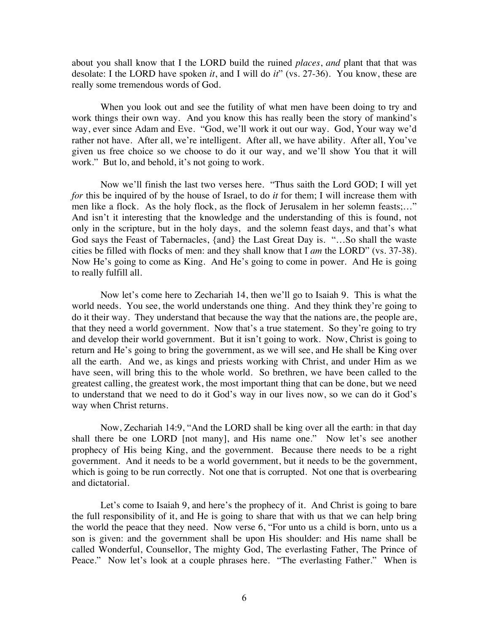about you shall know that I the LORD build the ruined *places*, *and* plant that that was desolate: I the LORD have spoken *it*, and I will do *it*" (vs. 27-36). You know, these are really some tremendous words of God.

When you look out and see the futility of what men have been doing to try and work things their own way. And you know this has really been the story of mankind's way, ever since Adam and Eve. "God, we'll work it out our way. God, Your way we'd rather not have. After all, we're intelligent. After all, we have ability. After all, You've given us free choice so we choose to do it our way, and we'll show You that it will work." But lo, and behold, it's not going to work.

Now we'll finish the last two verses here. "Thus saith the Lord GOD; I will yet *for* this be inquired of by the house of Israel, to do *it* for them; I will increase them with men like a flock. As the holy flock, as the flock of Jerusalem in her solemn feasts;…" And isn't it interesting that the knowledge and the understanding of this is found, not only in the scripture, but in the holy days, and the solemn feast days, and that's what God says the Feast of Tabernacles, {and} the Last Great Day is. "…So shall the waste cities be filled with flocks of men: and they shall know that I *am* the LORD" (vs. 37-38). Now He's going to come as King. And He's going to come in power. And He is going to really fulfill all.

Now let's come here to Zechariah 14, then we'll go to Isaiah 9. This is what the world needs. You see, the world understands one thing. And they think they're going to do it their way. They understand that because the way that the nations are, the people are, that they need a world government. Now that's a true statement. So they're going to try and develop their world government. But it isn't going to work. Now, Christ is going to return and He's going to bring the government, as we will see, and He shall be King over all the earth. And we, as kings and priests working with Christ, and under Him as we have seen, will bring this to the whole world. So brethren, we have been called to the greatest calling, the greatest work, the most important thing that can be done, but we need to understand that we need to do it God's way in our lives now, so we can do it God's way when Christ returns.

Now, Zechariah 14:9, "And the LORD shall be king over all the earth: in that day shall there be one LORD [not many], and His name one." Now let's see another prophecy of His being King, and the government. Because there needs to be a right government. And it needs to be a world government, but it needs to be the government, which is going to be run correctly. Not one that is corrupted. Not one that is overbearing and dictatorial.

Let's come to Isaiah 9, and here's the prophecy of it. And Christ is going to bare the full responsibility of it, and He is going to share that with us that we can help bring the world the peace that they need. Now verse 6, "For unto us a child is born, unto us a son is given: and the government shall be upon His shoulder: and His name shall be called Wonderful, Counsellor, The mighty God, The everlasting Father, The Prince of Peace." Now let's look at a couple phrases here. "The everlasting Father." When is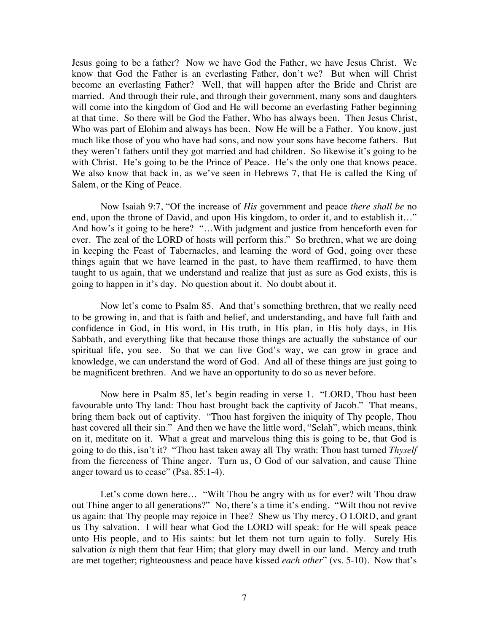Jesus going to be a father? Now we have God the Father, we have Jesus Christ. We know that God the Father is an everlasting Father, don't we? But when will Christ become an everlasting Father? Well, that will happen after the Bride and Christ are married. And through their rule, and through their government, many sons and daughters will come into the kingdom of God and He will become an everlasting Father beginning at that time. So there will be God the Father, Who has always been. Then Jesus Christ, Who was part of Elohim and always has been. Now He will be a Father. You know, just much like those of you who have had sons, and now your sons have become fathers. But they weren't fathers until they got married and had children. So likewise it's going to be with Christ. He's going to be the Prince of Peace. He's the only one that knows peace. We also know that back in, as we've seen in Hebrews 7, that He is called the King of Salem, or the King of Peace.

Now Isaiah 9:7, "Of the increase of *His* government and peace *there shall be* no end, upon the throne of David, and upon His kingdom, to order it, and to establish it…" And how's it going to be here? "…With judgment and justice from henceforth even for ever. The zeal of the LORD of hosts will perform this." So brethren, what we are doing in keeping the Feast of Tabernacles, and learning the word of God, going over these things again that we have learned in the past, to have them reaffirmed, to have them taught to us again, that we understand and realize that just as sure as God exists, this is going to happen in it's day. No question about it. No doubt about it.

Now let's come to Psalm 85. And that's something brethren, that we really need to be growing in, and that is faith and belief, and understanding, and have full faith and confidence in God, in His word, in His truth, in His plan, in His holy days, in His Sabbath, and everything like that because those things are actually the substance of our spiritual life, you see. So that we can live God's way, we can grow in grace and knowledge, we can understand the word of God. And all of these things are just going to be magnificent brethren. And we have an opportunity to do so as never before.

Now here in Psalm 85, let's begin reading in verse 1. "LORD, Thou hast been favourable unto Thy land: Thou hast brought back the captivity of Jacob." That means, bring them back out of captivity. "Thou hast forgiven the iniquity of Thy people, Thou hast covered all their sin." And then we have the little word, "Selah", which means, think on it, meditate on it. What a great and marvelous thing this is going to be, that God is going to do this, isn't it? "Thou hast taken away all Thy wrath: Thou hast turned *Thyself* from the fierceness of Thine anger. Turn us, O God of our salvation, and cause Thine anger toward us to cease" (Psa. 85:1-4).

Let's come down here... "Wilt Thou be angry with us for ever? wilt Thou draw out Thine anger to all generations?" No, there's a time it's ending. "Wilt thou not revive us again: that Thy people may rejoice in Thee? Shew us Thy mercy, O LORD, and grant us Thy salvation. I will hear what God the LORD will speak: for He will speak peace unto His people, and to His saints: but let them not turn again to folly. Surely His salvation *is* nigh them that fear Him; that glory may dwell in our land. Mercy and truth are met together; righteousness and peace have kissed *each other*" (vs. 5-10). Now that's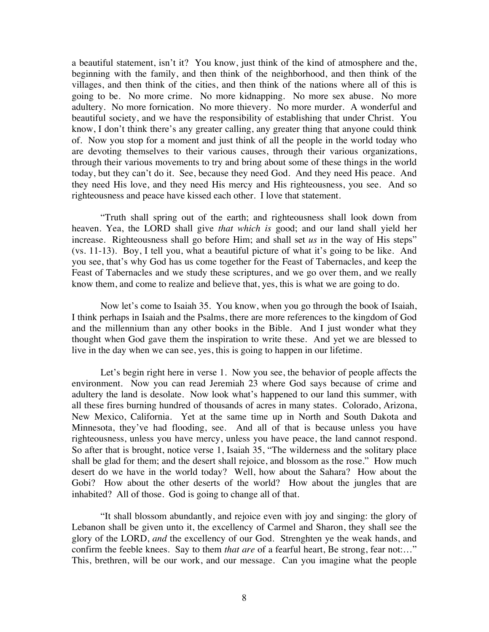a beautiful statement, isn't it? You know, just think of the kind of atmosphere and the, beginning with the family, and then think of the neighborhood, and then think of the villages, and then think of the cities, and then think of the nations where all of this is going to be. No more crime. No more kidnapping. No more sex abuse. No more adultery. No more fornication. No more thievery. No more murder. A wonderful and beautiful society, and we have the responsibility of establishing that under Christ. You know, I don't think there's any greater calling, any greater thing that anyone could think of. Now you stop for a moment and just think of all the people in the world today who are devoting themselves to their various causes, through their various organizations, through their various movements to try and bring about some of these things in the world today, but they can't do it. See, because they need God. And they need His peace. And they need His love, and they need His mercy and His righteousness, you see. And so righteousness and peace have kissed each other. I love that statement.

"Truth shall spring out of the earth; and righteousness shall look down from heaven. Yea, the LORD shall give *that which is* good; and our land shall yield her increase. Righteousness shall go before Him; and shall set *us* in the way of His steps" (vs. 11-13). Boy, I tell you, what a beautiful picture of what it's going to be like. And you see, that's why God has us come together for the Feast of Tabernacles, and keep the Feast of Tabernacles and we study these scriptures, and we go over them, and we really know them, and come to realize and believe that, yes, this is what we are going to do.

Now let's come to Isaiah 35. You know, when you go through the book of Isaiah, I think perhaps in Isaiah and the Psalms, there are more references to the kingdom of God and the millennium than any other books in the Bible. And I just wonder what they thought when God gave them the inspiration to write these. And yet we are blessed to live in the day when we can see, yes, this is going to happen in our lifetime.

Let's begin right here in verse 1. Now you see, the behavior of people affects the environment. Now you can read Jeremiah 23 where God says because of crime and adultery the land is desolate. Now look what's happened to our land this summer, with all these fires burning hundred of thousands of acres in many states. Colorado, Arizona, New Mexico, California. Yet at the same time up in North and South Dakota and Minnesota, they've had flooding, see. And all of that is because unless you have righteousness, unless you have mercy, unless you have peace, the land cannot respond. So after that is brought, notice verse 1, Isaiah 35, "The wilderness and the solitary place shall be glad for them; and the desert shall rejoice, and blossom as the rose." How much desert do we have in the world today? Well, how about the Sahara? How about the Gobi? How about the other deserts of the world? How about the jungles that are inhabited? All of those. God is going to change all of that.

"It shall blossom abundantly, and rejoice even with joy and singing: the glory of Lebanon shall be given unto it, the excellency of Carmel and Sharon, they shall see the glory of the LORD, *and* the excellency of our God. Strenghten ye the weak hands, and confirm the feeble knees. Say to them *that are* of a fearful heart, Be strong, fear not:…" This, brethren, will be our work, and our message. Can you imagine what the people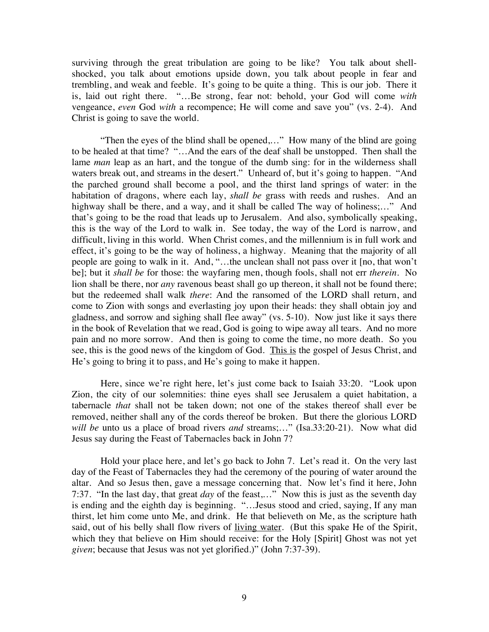surviving through the great tribulation are going to be like? You talk about shellshocked, you talk about emotions upside down, you talk about people in fear and trembling, and weak and feeble. It's going to be quite a thing. This is our job. There it is, laid out right there. "…Be strong, fear not: behold, your God will come *with* vengeance, *even* God *with* a recompence; He will come and save you" (vs. 2-4). And Christ is going to save the world.

"Then the eyes of the blind shall be opened,…" How many of the blind are going to be healed at that time? "…And the ears of the deaf shall be unstopped. Then shall the lame *man* leap as an hart, and the tongue of the dumb sing: for in the wilderness shall waters break out, and streams in the desert." Unheard of, but it's going to happen. "And the parched ground shall become a pool, and the thirst land springs of water: in the habitation of dragons, where each lay, *shall be* grass with reeds and rushes. And an highway shall be there, and a way, and it shall be called The way of holiness;..." And that's going to be the road that leads up to Jerusalem. And also, symbolically speaking, this is the way of the Lord to walk in. See today, the way of the Lord is narrow, and difficult, living in this world. When Christ comes, and the millennium is in full work and effect, it's going to be the way of holiness, a highway. Meaning that the majority of all people are going to walk in it. And, "…the unclean shall not pass over it [no, that won't be]; but it *shall be* for those: the wayfaring men, though fools, shall not err *therein*. No lion shall be there, nor *any* ravenous beast shall go up thereon, it shall not be found there; but the redeemed shall walk *there*: And the ransomed of the LORD shall return, and come to Zion with songs and everlasting joy upon their heads: they shall obtain joy and gladness, and sorrow and sighing shall flee away" (vs. 5-10). Now just like it says there in the book of Revelation that we read, God is going to wipe away all tears. And no more pain and no more sorrow. And then is going to come the time, no more death. So you see, this is the good news of the kingdom of God. This is the gospel of Jesus Christ, and He's going to bring it to pass, and He's going to make it happen.

Here, since we're right here, let's just come back to Isaiah 33:20. "Look upon Zion, the city of our solemnities: thine eyes shall see Jerusalem a quiet habitation, a tabernacle *that* shall not be taken down; not one of the stakes thereof shall ever be removed, neither shall any of the cords thereof be broken. But there the glorious LORD *will be* unto us a place of broad rivers *and* streams;…" (Isa.33:20-21). Now what did Jesus say during the Feast of Tabernacles back in John 7?

Hold your place here, and let's go back to John 7. Let's read it. On the very last day of the Feast of Tabernacles they had the ceremony of the pouring of water around the altar. And so Jesus then, gave a message concerning that. Now let's find it here, John 7:37. "In the last day, that great *day* of the feast,…" Now this is just as the seventh day is ending and the eighth day is beginning. "…Jesus stood and cried, saying, If any man thirst, let him come unto Me, and drink. He that believeth on Me, as the scripture hath said, out of his belly shall flow rivers of living water. (But this spake He of the Spirit, which they that believe on Him should receive: for the Holy [Spirit] Ghost was not yet *given*; because that Jesus was not yet glorified.)" (John 7:37-39).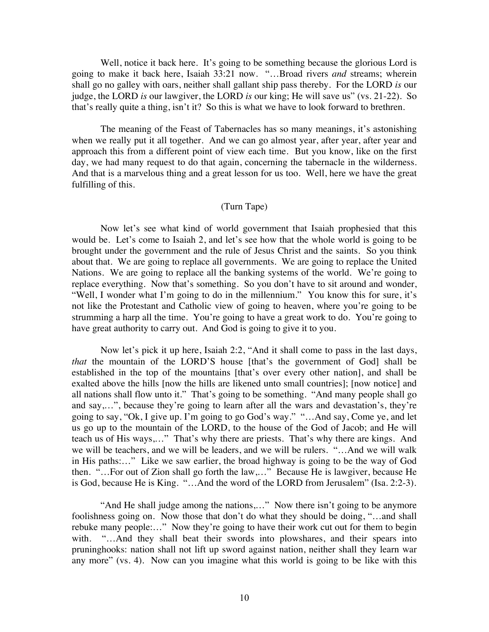Well, notice it back here. It's going to be something because the glorious Lord is going to make it back here, Isaiah 33:21 now. "…Broad rivers *and* streams; wherein shall go no galley with oars, neither shall gallant ship pass thereby. For the LORD *is* our judge, the LORD *is* our lawgiver, the LORD *is* our king; He will save us" (vs. 21-22). So that's really quite a thing, isn't it? So this is what we have to look forward to brethren.

The meaning of the Feast of Tabernacles has so many meanings, it's astonishing when we really put it all together. And we can go almost year, after year, after year and approach this from a different point of view each time. But you know, like on the first day, we had many request to do that again, concerning the tabernacle in the wilderness. And that is a marvelous thing and a great lesson for us too. Well, here we have the great fulfilling of this.

## (Turn Tape)

Now let's see what kind of world government that Isaiah prophesied that this would be. Let's come to Isaiah 2, and let's see how that the whole world is going to be brought under the government and the rule of Jesus Christ and the saints. So you think about that. We are going to replace all governments. We are going to replace the United Nations. We are going to replace all the banking systems of the world. We're going to replace everything. Now that's something. So you don't have to sit around and wonder, "Well, I wonder what I'm going to do in the millennium." You know this for sure, it's not like the Protestant and Catholic view of going to heaven, where you're going to be strumming a harp all the time. You're going to have a great work to do. You're going to have great authority to carry out. And God is going to give it to you.

Now let's pick it up here, Isaiah 2:2, "And it shall come to pass in the last days, *that* the mountain of the LORD'S house [that's the government of God] shall be established in the top of the mountains [that's over every other nation], and shall be exalted above the hills [now the hills are likened unto small countries]; [now notice] and all nations shall flow unto it." That's going to be something. "And many people shall go and say,…", because they're going to learn after all the wars and devastation's, they're going to say, "Ok, I give up. I'm going to go God's way." "…And say, Come ye, and let us go up to the mountain of the LORD, to the house of the God of Jacob; and He will teach us of His ways,…" That's why there are priests. That's why there are kings. And we will be teachers, and we will be leaders, and we will be rulers. "…And we will walk in His paths:…" Like we saw earlier, the broad highway is going to be the way of God then. "…For out of Zion shall go forth the law,…" Because He is lawgiver, because He is God, because He is King. "…And the word of the LORD from Jerusalem" (Isa. 2:2-3).

"And He shall judge among the nations,..." Now there isn't going to be anymore foolishness going on. Now those that don't do what they should be doing, "…and shall rebuke many people:…" Now they're going to have their work cut out for them to begin with. "...And they shall beat their swords into plowshares, and their spears into pruninghooks: nation shall not lift up sword against nation, neither shall they learn war any more" (vs. 4). Now can you imagine what this world is going to be like with this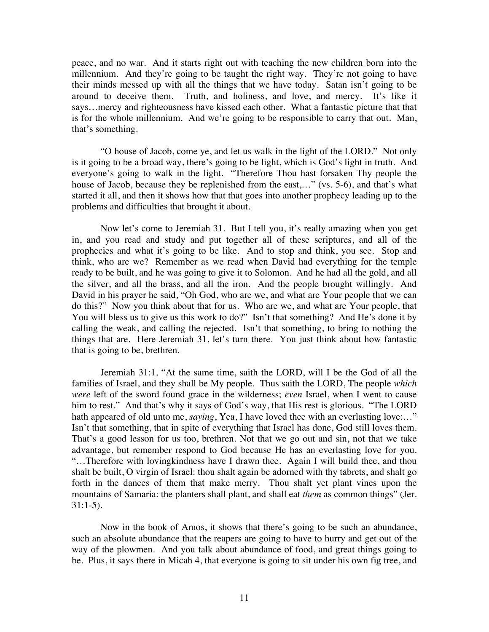peace, and no war. And it starts right out with teaching the new children born into the millennium. And they're going to be taught the right way. They're not going to have their minds messed up with all the things that we have today. Satan isn't going to be around to deceive them. Truth, and holiness, and love, and mercy. It's like it says…mercy and righteousness have kissed each other. What a fantastic picture that that is for the whole millennium. And we're going to be responsible to carry that out. Man, that's something.

"O house of Jacob, come ye, and let us walk in the light of the LORD." Not only is it going to be a broad way, there's going to be light, which is God's light in truth. And everyone's going to walk in the light. "Therefore Thou hast forsaken Thy people the house of Jacob, because they be replenished from the east,..." (vs. 5-6), and that's what started it all, and then it shows how that that goes into another prophecy leading up to the problems and difficulties that brought it about.

Now let's come to Jeremiah 31. But I tell you, it's really amazing when you get in, and you read and study and put together all of these scriptures, and all of the prophecies and what it's going to be like. And to stop and think, you see. Stop and think, who are we? Remember as we read when David had everything for the temple ready to be built, and he was going to give it to Solomon. And he had all the gold, and all the silver, and all the brass, and all the iron. And the people brought willingly. And David in his prayer he said, "Oh God, who are we, and what are Your people that we can do this?" Now you think about that for us. Who are we, and what are Your people, that You will bless us to give us this work to do?" Isn't that something? And He's done it by calling the weak, and calling the rejected. Isn't that something, to bring to nothing the things that are. Here Jeremiah 31, let's turn there. You just think about how fantastic that is going to be, brethren.

Jeremiah 31:1, "At the same time, saith the LORD, will I be the God of all the families of Israel, and they shall be My people. Thus saith the LORD, The people *which were* left of the sword found grace in the wilderness; *even* Israel, when I went to cause him to rest." And that's why it says of God's way, that His rest is glorious. "The LORD hath appeared of old unto me, *saying*, Yea, I have loved thee with an everlasting love...." Isn't that something, that in spite of everything that Israel has done, God still loves them. That's a good lesson for us too, brethren. Not that we go out and sin, not that we take advantage, but remember respond to God because He has an everlasting love for you. "…Therefore with lovingkindness have I drawn thee. Again I will build thee, and thou shalt be built, O virgin of Israel: thou shalt again be adorned with thy tabrets, and shalt go forth in the dances of them that make merry. Thou shalt yet plant vines upon the mountains of Samaria: the planters shall plant, and shall eat *them* as common things" (Jer.  $31:1-5$ ).

Now in the book of Amos, it shows that there's going to be such an abundance, such an absolute abundance that the reapers are going to have to hurry and get out of the way of the plowmen. And you talk about abundance of food, and great things going to be. Plus, it says there in Micah 4, that everyone is going to sit under his own fig tree, and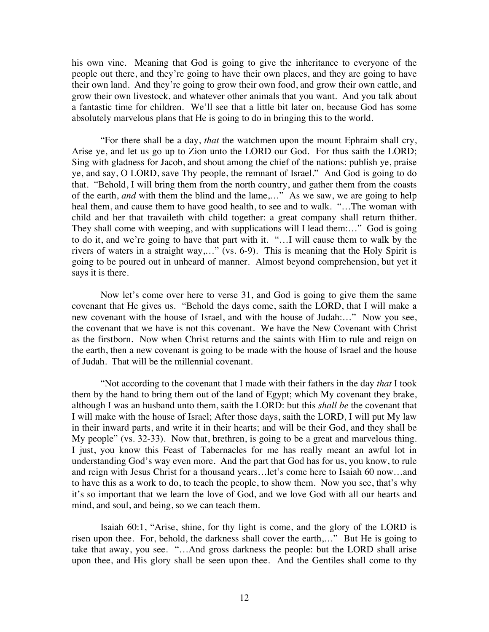his own vine. Meaning that God is going to give the inheritance to everyone of the people out there, and they're going to have their own places, and they are going to have their own land. And they're going to grow their own food, and grow their own cattle, and grow their own livestock, and whatever other animals that you want. And you talk about a fantastic time for children. We'll see that a little bit later on, because God has some absolutely marvelous plans that He is going to do in bringing this to the world.

"For there shall be a day, *that* the watchmen upon the mount Ephraim shall cry, Arise ye, and let us go up to Zion unto the LORD our God. For thus saith the LORD; Sing with gladness for Jacob, and shout among the chief of the nations: publish ye, praise ye, and say, O LORD, save Thy people, the remnant of Israel." And God is going to do that. "Behold, I will bring them from the north country, and gather them from the coasts of the earth, *and* with them the blind and the lame,…" As we saw, we are going to help heal them, and cause them to have good health, to see and to walk. "…The woman with child and her that travaileth with child together: a great company shall return thither. They shall come with weeping, and with supplications will I lead them:..." God is going to do it, and we're going to have that part with it. "…I will cause them to walk by the rivers of waters in a straight way,…" (vs. 6-9). This is meaning that the Holy Spirit is going to be poured out in unheard of manner. Almost beyond comprehension, but yet it says it is there.

Now let's come over here to verse 31, and God is going to give them the same covenant that He gives us. "Behold the days come, saith the LORD, that I will make a new covenant with the house of Israel, and with the house of Judah:…" Now you see, the covenant that we have is not this covenant. We have the New Covenant with Christ as the firstborn. Now when Christ returns and the saints with Him to rule and reign on the earth, then a new covenant is going to be made with the house of Israel and the house of Judah. That will be the millennial covenant.

"Not according to the covenant that I made with their fathers in the day *that* I took them by the hand to bring them out of the land of Egypt; which My covenant they brake, although I was an husband unto them, saith the LORD: but this *shall be* the covenant that I will make with the house of Israel; After those days, saith the LORD, I will put My law in their inward parts, and write it in their hearts; and will be their God, and they shall be My people" (vs. 32-33). Now that, brethren, is going to be a great and marvelous thing. I just, you know this Feast of Tabernacles for me has really meant an awful lot in understanding God's way even more. And the part that God has for us, you know, to rule and reign with Jesus Christ for a thousand years…let's come here to Isaiah 60 now…and to have this as a work to do, to teach the people, to show them. Now you see, that's why it's so important that we learn the love of God, and we love God with all our hearts and mind, and soul, and being, so we can teach them.

Isaiah 60:1, "Arise, shine, for thy light is come, and the glory of the LORD is risen upon thee. For, behold, the darkness shall cover the earth,…" But He is going to take that away, you see. "…And gross darkness the people: but the LORD shall arise upon thee, and His glory shall be seen upon thee. And the Gentiles shall come to thy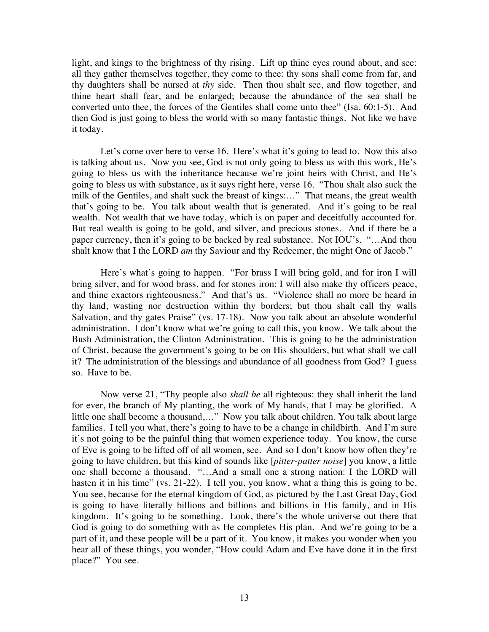light, and kings to the brightness of thy rising. Lift up thine eyes round about, and see: all they gather themselves together, they come to thee: thy sons shall come from far, and thy daughters shall be nursed at *thy* side. Then thou shalt see, and flow together, and thine heart shall fear, and be enlarged; because the abundance of the sea shall be converted unto thee, the forces of the Gentiles shall come unto thee" (Isa. 60:1-5). And then God is just going to bless the world with so many fantastic things. Not like we have it today.

Let's come over here to verse 16. Here's what it's going to lead to. Now this also is talking about us. Now you see, God is not only going to bless us with this work, He's going to bless us with the inheritance because we're joint heirs with Christ, and He's going to bless us with substance, as it says right here, verse 16. "Thou shalt also suck the milk of the Gentiles, and shalt suck the breast of kings:..." That means, the great wealth that's going to be. You talk about wealth that is generated. And it's going to be real wealth. Not wealth that we have today, which is on paper and deceitfully accounted for. But real wealth is going to be gold, and silver, and precious stones. And if there be a paper currency, then it's going to be backed by real substance. Not IOU's. "…And thou shalt know that I the LORD *am* thy Saviour and thy Redeemer, the might One of Jacob."

Here's what's going to happen. "For brass I will bring gold, and for iron I will bring silver, and for wood brass, and for stones iron: I will also make thy officers peace, and thine exactors righteousness." And that's us. "Violence shall no more be heard in thy land, wasting nor destruction within thy borders; but thou shalt call thy walls Salvation, and thy gates Praise" (vs. 17-18). Now you talk about an absolute wonderful administration. I don't know what we're going to call this, you know. We talk about the Bush Administration, the Clinton Administration. This is going to be the administration of Christ, because the government's going to be on His shoulders, but what shall we call it? The administration of the blessings and abundance of all goodness from God? I guess so. Have to be.

Now verse 21, "Thy people also *shall be* all righteous: they shall inherit the land for ever, the branch of My planting, the work of My hands, that I may be glorified. A little one shall become a thousand,…" Now you talk about children. You talk about large families. I tell you what, there's going to have to be a change in childbirth. And I'm sure it's not going to be the painful thing that women experience today. You know, the curse of Eve is going to be lifted off of all women, see. And so I don't know how often they're going to have children, but this kind of sounds like [*pitter-patter noise*] you know, a little one shall become a thousand. "…And a small one a strong nation: I the LORD will hasten it in his time" (vs. 21-22). I tell you, you know, what a thing this is going to be. You see, because for the eternal kingdom of God, as pictured by the Last Great Day, God is going to have literally billions and billions and billions in His family, and in His kingdom. It's going to be something. Look, there's the whole universe out there that God is going to do something with as He completes His plan. And we're going to be a part of it, and these people will be a part of it. You know, it makes you wonder when you hear all of these things, you wonder, "How could Adam and Eve have done it in the first place?" You see.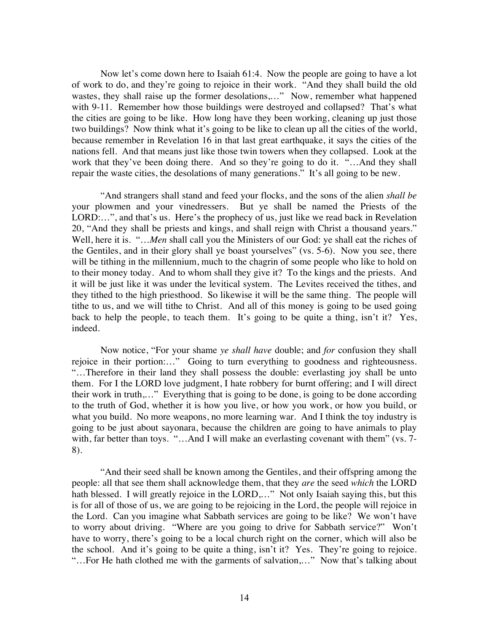Now let's come down here to Isaiah 61:4. Now the people are going to have a lot of work to do, and they're going to rejoice in their work. "And they shall build the old wastes, they shall raise up the former desolations,..." Now, remember what happened with 9-11. Remember how those buildings were destroyed and collapsed? That's what the cities are going to be like. How long have they been working, cleaning up just those two buildings? Now think what it's going to be like to clean up all the cities of the world, because remember in Revelation 16 in that last great earthquake, it says the cities of the nations fell. And that means just like those twin towers when they collapsed. Look at the work that they've been doing there. And so they're going to do it. "...And they shall repair the waste cities, the desolations of many generations." It's all going to be new.

"And strangers shall stand and feed your flocks, and the sons of the alien *shall be* your plowmen and your vinedressers. But ye shall be named the Priests of the LORD:…", and that's us. Here's the prophecy of us, just like we read back in Revelation 20, "And they shall be priests and kings, and shall reign with Christ a thousand years." Well, here it is. "...*Men* shall call you the Ministers of our God: ye shall eat the riches of the Gentiles, and in their glory shall ye boast yourselves" (vs. 5-6). Now you see, there will be tithing in the millennium, much to the chagrin of some people who like to hold on to their money today. And to whom shall they give it? To the kings and the priests. And it will be just like it was under the levitical system. The Levites received the tithes, and they tithed to the high priesthood. So likewise it will be the same thing. The people will tithe to us, and we will tithe to Christ. And all of this money is going to be used going back to help the people, to teach them. It's going to be quite a thing, isn't it? Yes, indeed.

Now notice, "For your shame *ye shall have* double; and *for* confusion they shall rejoice in their portion:…" Going to turn everything to goodness and righteousness. "…Therefore in their land they shall possess the double: everlasting joy shall be unto them. For I the LORD love judgment, I hate robbery for burnt offering; and I will direct their work in truth,…" Everything that is going to be done, is going to be done according to the truth of God, whether it is how you live, or how you work, or how you build, or what you build. No more weapons, no more learning war. And I think the toy industry is going to be just about sayonara, because the children are going to have animals to play with, far better than toys. "...And I will make an everlasting covenant with them" (vs. 7-8).

"And their seed shall be known among the Gentiles, and their offspring among the people: all that see them shall acknowledge them, that they *are* the seed *which* the LORD hath blessed. I will greatly rejoice in the LORD,..." Not only Isaiah saying this, but this is for all of those of us, we are going to be rejoicing in the Lord, the people will rejoice in the Lord. Can you imagine what Sabbath services are going to be like? We won't have to worry about driving. "Where are you going to drive for Sabbath service?" Won't have to worry, there's going to be a local church right on the corner, which will also be the school. And it's going to be quite a thing, isn't it? Yes. They're going to rejoice. "…For He hath clothed me with the garments of salvation,…" Now that's talking about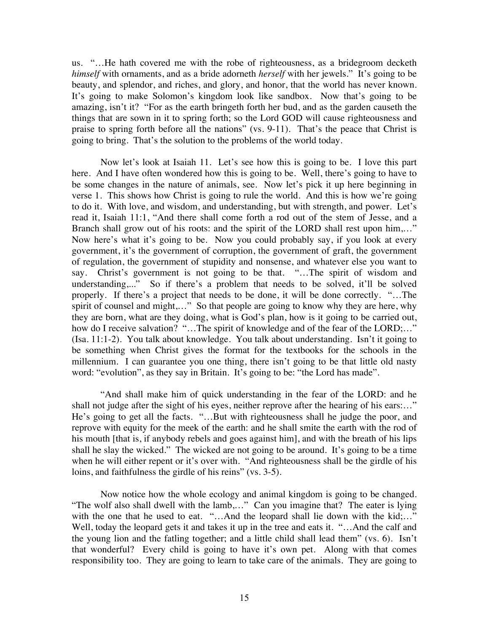us. "…He hath covered me with the robe of righteousness, as a bridegroom decketh *himself* with ornaments, and as a bride adorneth *herself* with her jewels." It's going to be beauty, and splendor, and riches, and glory, and honor, that the world has never known. It's going to make Solomon's kingdom look like sandbox. Now that's going to be amazing, isn't it? "For as the earth bringeth forth her bud, and as the garden causeth the things that are sown in it to spring forth; so the Lord GOD will cause righteousness and praise to spring forth before all the nations" (vs. 9-11). That's the peace that Christ is going to bring. That's the solution to the problems of the world today.

Now let's look at Isaiah 11. Let's see how this is going to be. I love this part here. And I have often wondered how this is going to be. Well, there's going to have to be some changes in the nature of animals, see. Now let's pick it up here beginning in verse 1. This shows how Christ is going to rule the world. And this is how we're going to do it. With love, and wisdom, and understanding, but with strength, and power. Let's read it, Isaiah 11:1, "And there shall come forth a rod out of the stem of Jesse, and a Branch shall grow out of his roots: and the spirit of the LORD shall rest upon him,..." Now here's what it's going to be. Now you could probably say, if you look at every government, it's the government of corruption, the government of graft, the government of regulation, the government of stupidity and nonsense, and whatever else you want to say. Christ's government is not going to be that. "…The spirit of wisdom and understanding,..." So if there's a problem that needs to be solved, it'll be solved properly. If there's a project that needs to be done, it will be done correctly. "…The spirit of counsel and might,..." So that people are going to know why they are here, why they are born, what are they doing, what is God's plan, how is it going to be carried out, how do I receive salvation? "...The spirit of knowledge and of the fear of the LORD;..." (Isa. 11:1-2). You talk about knowledge. You talk about understanding. Isn't it going to be something when Christ gives the format for the textbooks for the schools in the millennium. I can guarantee you one thing, there isn't going to be that little old nasty word: "evolution", as they say in Britain. It's going to be: "the Lord has made".

"And shall make him of quick understanding in the fear of the LORD: and he shall not judge after the sight of his eyes, neither reprove after the hearing of his ears:…" He's going to get all the facts. "…But with righteousness shall he judge the poor, and reprove with equity for the meek of the earth: and he shall smite the earth with the rod of his mouth [that is, if anybody rebels and goes against him], and with the breath of his lips shall he slay the wicked." The wicked are not going to be around. It's going to be a time when he will either repent or it's over with. "And righteousness shall be the girdle of his loins, and faithfulness the girdle of his reins" (vs. 3-5).

Now notice how the whole ecology and animal kingdom is going to be changed. "The wolf also shall dwell with the lamb,…" Can you imagine that? The eater is lying with the one that he used to eat. "...And the leopard shall lie down with the kid;..." Well, today the leopard gets it and takes it up in the tree and eats it. "…And the calf and the young lion and the fatling together; and a little child shall lead them" (vs. 6). Isn't that wonderful? Every child is going to have it's own pet. Along with that comes responsibility too. They are going to learn to take care of the animals. They are going to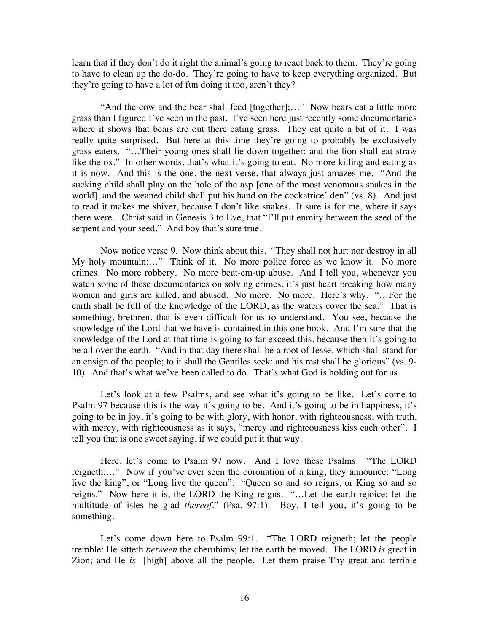learn that if they don't do it right the animal's going to react back to them. They're going to have to clean up the do-do. They're going to have to keep everything organized. But they're going to have a lot of fun doing it too, aren't they?

"And the cow and the bear shall feed [together];…" Now bears eat a little more grass than I figured I've seen in the past. I've seen here just recently some documentaries where it shows that bears are out there eating grass. They eat quite a bit of it. I was really quite surprised. But here at this time they're going to probably be exclusively grass eaters. "…Their young ones shall lie down together: and the lion shall eat straw like the ox." In other words, that's what it's going to eat. No more killing and eating as it is now. And this is the one, the next verse, that always just amazes me. "And the sucking child shall play on the hole of the asp [one of the most venomous snakes in the world], and the weaned child shall put his hand on the cockatrice' den" (vs. 8). And just to read it makes me shiver, because I don't like snakes. It sure is for me, where it says there were…Christ said in Genesis 3 to Eve, that "I'll put enmity between the seed of the serpent and your seed." And boy that's sure true.

Now notice verse 9. Now think about this. "They shall not hurt nor destroy in all My holy mountain:…" Think of it. No more police force as we know it. No more crimes. No more robbery. No more beat-em-up abuse. And I tell you, whenever you watch some of these documentaries on solving crimes, it's just heart breaking how many women and girls are killed, and abused. No more. No more. Here's why. "…For the earth shall be full of the knowledge of the LORD, as the waters cover the sea." That is something, brethren, that is even difficult for us to understand. You see, because the knowledge of the Lord that we have is contained in this one book. And I'm sure that the knowledge of the Lord at that time is going to far exceed this, because then it's going to be all over the earth. "And in that day there shall be a root of Jesse, which shall stand for an ensign of the people; to it shall the Gentiles seek: and his rest shall be glorious" (vs. 9- 10). And that's what we've been called to do. That's what God is holding out for us.

Let's look at a few Psalms, and see what it's going to be like. Let's come to Psalm 97 because this is the way it's going to be. And it's going to be in happiness, it's going to be in joy, it's going to be with glory, with honor, with righteousness, with truth, with mercy, with righteousness as it says, "mercy and righteousness kiss each other". I tell you that is one sweet saying, if we could put it that way.

Here, let's come to Psalm 97 now. And I love these Psalms. "The LORD reigneth;…" Now if you've ever seen the coronation of a king, they announce: "Long live the king", or "Long live the queen". "Queen so and so reigns, or King so and so reigns." Now here it is, the LORD the King reigns. "…Let the earth rejoice; let the multitude of isles be glad *thereof*." (Psa. 97:1). Boy, I tell you, it's going to be something.

Let's come down here to Psalm 99:1. "The LORD reigneth; let the people tremble: He sitteth *between* the cherubims; let the earth be moved. The LORD *is* great in Zion; and He *is* [high] above all the people. Let them praise Thy great and terrible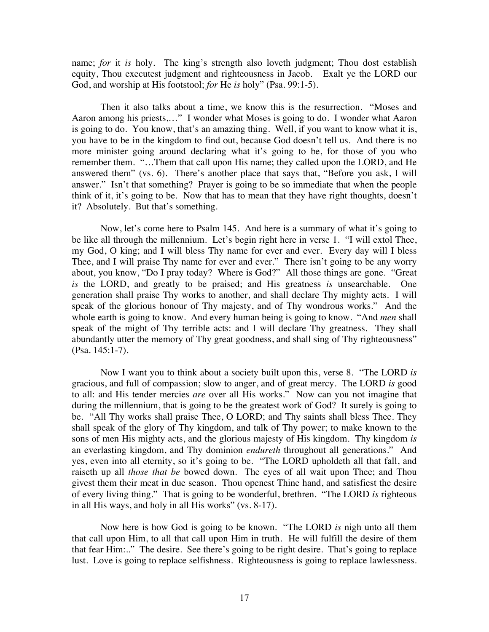name; *for* it *is* holy. The king's strength also loveth judgment; Thou dost establish equity, Thou executest judgment and righteousness in Jacob. Exalt ye the LORD our God, and worship at His footstool; *for* He *is* holy" (Psa. 99:1-5).

Then it also talks about a time, we know this is the resurrection. "Moses and Aaron among his priests,…" I wonder what Moses is going to do. I wonder what Aaron is going to do. You know, that's an amazing thing. Well, if you want to know what it is, you have to be in the kingdom to find out, because God doesn't tell us. And there is no more minister going around declaring what it's going to be, for those of you who remember them. "…Them that call upon His name; they called upon the LORD, and He answered them" (vs. 6). There's another place that says that, "Before you ask, I will answer." Isn't that something? Prayer is going to be so immediate that when the people think of it, it's going to be. Now that has to mean that they have right thoughts, doesn't it? Absolutely. But that's something.

Now, let's come here to Psalm 145. And here is a summary of what it's going to be like all through the millennium. Let's begin right here in verse 1. "I will extol Thee, my God, O king; and I will bless Thy name for ever and ever. Every day will I bless Thee, and I will praise Thy name for ever and ever." There isn't going to be any worry about, you know, "Do I pray today? Where is God?" All those things are gone. "Great *is* the LORD, and greatly to be praised; and His greatness *is* unsearchable. One generation shall praise Thy works to another, and shall declare Thy mighty acts. I will speak of the glorious honour of Thy majesty, and of Thy wondrous works." And the whole earth is going to know. And every human being is going to know. "And *men* shall speak of the might of Thy terrible acts: and I will declare Thy greatness. They shall abundantly utter the memory of Thy great goodness, and shall sing of Thy righteousness" (Psa. 145:1-7).

Now I want you to think about a society built upon this, verse 8. "The LORD *is* gracious, and full of compassion; slow to anger, and of great mercy. The LORD *is* good to all: and His tender mercies *are* over all His works." Now can you not imagine that during the millennium, that is going to be the greatest work of God? It surely is going to be. "All Thy works shall praise Thee, O LORD; and Thy saints shall bless Thee. They shall speak of the glory of Thy kingdom, and talk of Thy power; to make known to the sons of men His mighty acts, and the glorious majesty of His kingdom. Thy kingdom *is* an everlasting kingdom, and Thy dominion *endureth* throughout all generations." And yes, even into all eternity, so it's going to be. "The LORD upholdeth all that fall, and raiseth up all *those that be* bowed down. The eyes of all wait upon Thee; and Thou givest them their meat in due season. Thou openest Thine hand, and satisfiest the desire of every living thing." That is going to be wonderful, brethren. "The LORD *is* righteous in all His ways, and holy in all His works" (vs. 8-17).

Now here is how God is going to be known. "The LORD *is* nigh unto all them that call upon Him, to all that call upon Him in truth. He will fulfill the desire of them that fear Him:.." The desire. See there's going to be right desire. That's going to replace lust. Love is going to replace selfishness. Righteousness is going to replace lawlessness.